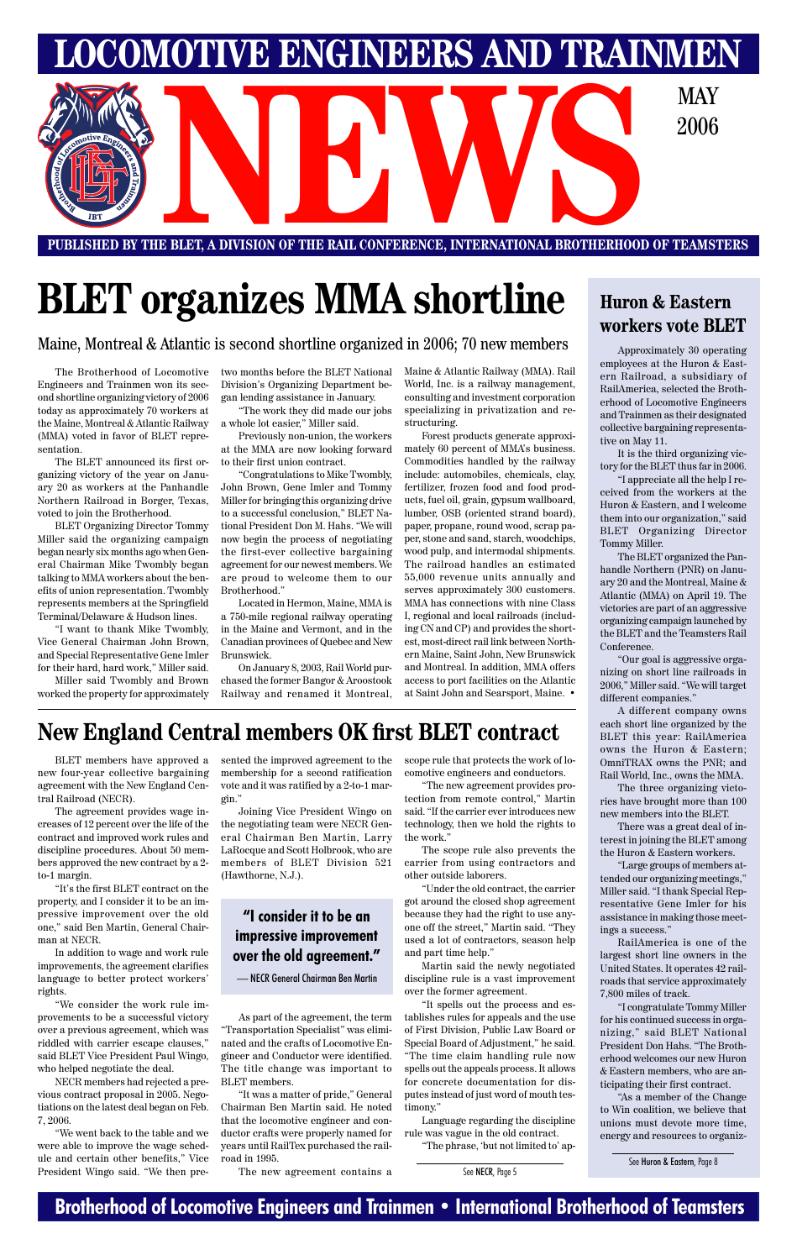### **Brotherhood of Locomotive Engineers and Trainmen • International Brotherhood of Teamsters**

**LOCOMOTIVE ENGINEERS AND TRAINMEN PUBLISHED BY THE BLET, A DIVISION OF THE RAIL CONFERENCE, INTERNATIONAL BROTHERHOOD OF TEAMSTERS NEWSPACE AND DESCRIPTION OF THE RAIL CONFERENCE, INTERNATIONAL BROTHERHOOD OF TEAMS:** 2006

# **BLET organizes MMA shortline**

Maine, Montreal & Atlantic is second shortline organized in 2006; 70 new members

BLET members have approved a new four-year collective bargaining agreement with the New England Central Railroad (NECR).

The agreement provides wage increases of 12 percent over the life of the contract and improved work rules and discipline procedures. About 50 members approved the new contract by a 2 to-1 margin.

"It's the first BLET contract on the property, and I consider it to be an impressive improvement over the old one," said Ben Martin, General Chairman at NECR.

In addition to wage and work rule improvements, the agreement clarifies language to better protect workers' rights.

"We consider the work rule improvements to be a successful victory over a previous agreement, which was riddled with carrier escape clauses," said BLET Vice President Paul Wingo, who helped negotiate the deal.

NECR members had rejected a previous contract proposal in 2005. Negotiations on the latest deal began on Feb. 7, 2006.

"We went back to the table and we were able to improve the wage schedule and certain other benefits," Vice President Wingo said. "We then presented the improved agreement to the membership for a second ratification vote and it was ratified by a 2-to-1 margin."

Joining Vice President Wingo on the negotiating team were NECR General Chairman Ben Martin, Larry LaRocque and Scott Holbrook, who are members of BLET Division 521 (Hawthorne, N.J.).

As part of the agreement, the term "Transportation Specialist" was eliminated and the crafts of Locomotive Engineer and Conductor were identified. The title change was important to BLET members.

"It was a matter of pride," General Chairman Ben Martin said. He noted that the locomotive engineer and conductor crafts were properly named for years until RailTex purchased the railroad in 1995.

The new agreement contains a

scope rule that protects the work of locomotive engineers and conductors.

"The new agreement provides protection from remote control," Martin said. "If the carrier ever introduces new technology, then we hold the rights to the work."

The scope rule also prevents the carrier from using contractors and other outside laborers.

"Under the old contract, the carrier got around the closed shop agreement because they had the right to use anyone off the street," Martin said. "They used a lot of contractors, season help and part time help."

Martin said the newly negotiated discipline rule is a vast improvement over the former agreement.

"It spells out the process and establishes rules for appeals and the use of First Division, Public Law Board or Special Board of Adjustment," he said. "The time claim handling rule now spells out the appeals process. It allows for concrete documentation for disputes instead of just word of mouth testimony."

Language regarding the discipline rule was vague in the old contract.

"The phrase, 'but not limited to' ap-

The Brotherhood of Locomotive Engineers and Trainmen won its second shortline organizing victory of 2006 today as approximately 70 workers at the Maine, Montreal & Atlantic Railway (MMA) voted in favor of BLET representation.

The BLET announced its first organizing victory of the year on January 20 as workers at the Panhandle Northern Railroad in Borger, Texas, voted to join the Brotherhood.

BLET Organizing Director Tommy Miller said the organizing campaign began nearly six months ago when General Chairman Mike Twombly began talking to MMA workers about the benefits of union representation. Twombly represents members at the Springfield Terminal/Delaware & Hudson lines.

"I want to thank Mike Twombly, Vice General Chairman John Brown, and Special Representative Gene Imler for their hard, hard work," Miller said.

Miller said Twombly and Brown worked the property for approximately two months before the BLET National Division's Organizing Department began lending assistance in January.

"The work they did made our jobs a whole lot easier," Miller said.

Previously non-union, the workers at the MMA are now looking forward to their first union contract.

"Congratulations to Mike Twombly, John Brown, Gene Imler and Tommy Miller for bringing this organizing drive to a successful conclusion," BLET National President Don M. Hahs. "We will now begin the process of negotiating the first-ever collective bargaining agreement for our newest members. We are proud to welcome them to our Brotherhood."

Located in Hermon, Maine, MMA is a 750-mile regional railway operating in the Maine and Vermont, and in the Canadian provinces of Quebec and New Brunswick.

On January 8, 2003, Rail World purchased the former Bangor & Aroostook Railway and renamed it Montreal,

Maine & Atlantic Railway (MMA). Rail World, Inc. is a railway management, consulting and investment corporation specializing in privatization and restructuring.

Forest products generate approximately 60 percent of MMA's business. Commodities handled by the railway include: automobiles, chemicals, clay, fertilizer, frozen food and food products, fuel oil, grain, gypsum wallboard, lumber, OSB (oriented strand board), paper, propane, round wood, scrap paper, stone and sand, starch, woodchips, wood pulp, and intermodal shipments. The railroad handles an estimated 55,000 revenue units annually and serves approximately 300 customers. MMA has connections with nine Class I, regional and local railroads (including CN and CP) and provides the shortest, most-direct rail link between Northern Maine, Saint John, New Brunswick and Montreal. In addition, MMA offers access to port facilities on the Atlantic at Saint John and Searsport, Maine. •

### **New England Central members OK first BLET contract**

### **"I consider it to be an**

### **impressive improvement over the old agreement."**

— NECR General Chairman Ben Martin

See NECR, Page 5

Approximately 30 operating employees at the Huron & Eastern Railroad, a subsidiary of RailAmerica, selected the Brotherhood of Locomotive Engineers and Trainmen as their designated collective bargaining representative on May 11.

It is the third organizing victory for the BLET thus far in 2006.

"I appreciate all the help I received from the workers at the Huron & Eastern, and I welcome them into our organization," said BLET Organizing Director Tommy Miller.

The BLET organized the Panhandle Northern (PNR) on January 20 and the Montreal, Maine & Atlantic (MMA) on April 19. The victories are part of an aggressive organizing campaign launched by the BLET and the Teamsters Rail Conference.

"Our goal is aggressive organizing on short line railroads in 2006," Miller said. "We will target different companies."

A different company owns each short line organized by the BLET this year: RailAmerica owns the Huron & Eastern; OmniTRAX owns the PNR; and Rail World, Inc., owns the MMA.

The three organizing victories have brought more than 100 new members into the BLET.

There was a great deal of interest in joining the BLET among the Huron & Eastern workers.

"Large groups of members attended our organizing meetings," Miller said. "I thank Special Representative Gene Imler for his assistance in making those meet-

ings a success."

RailAmerica is one of the largest short line owners in the United States. It operates 42 railroads that service approximately 7,800 miles of track.

"I congratulate Tommy Miller for his continued success in organizing," said BLET National President Don Hahs. "The Brotherhood welcomes our new Huron & Eastern members, who are anticipating their first contract.

"As a member of the Change to Win coalition, we believe that unions must devote more time, energy and resources to organiz-

### **Huron & Eastern workers vote BLET**

See Huron & Eastern, Page 8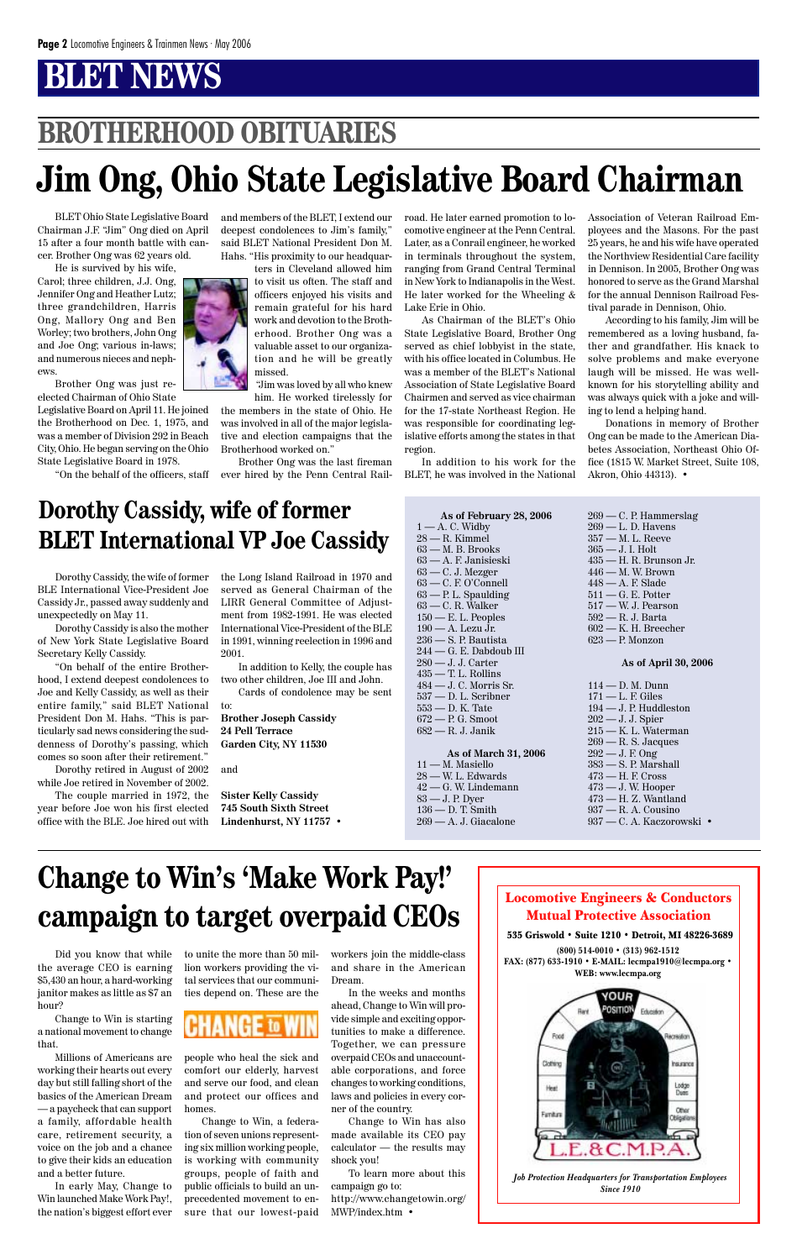Locomotive Engineers & Conductors Mutual Protective Association



535 Griswold • Suite 1210 • Detroit, MI 48226-3689

**(800) 514-0010 • (313) 962-1512 FAX: (877) 633-1910 • E-MAIL: lecmpa1910@lecmpa.org • WEB: www.lecmpa.org**



*Job Protection Headquarters for Transportation Employees Since 1910*

Did you know that while the average CEO is earning \$5,430 an hour, a hard-working janitor makes as little as \$7 an hour?

Change to Win is starting a national movement to change that.

Millions of Americans are working their hearts out every day but still falling short of the basics of the American Dream — a paycheck that can support a family, affordable health care, retirement security, a voice on the job and a chance to give their kids an education and a better future.

In early May, Change to Win launched Make Work Pay!, the nation's biggest effort ever to unite the more than 50 million workers providing the vital services that our communities depend on. These are the



people who heal the sick and comfort our elderly, harvest and serve our food, and clean and protect our offices and homes.

Change to Win, a federation of seven unions representing six million working people, is working with community groups, people of faith and public officials to build an unprecedented movement to ensure that our lowest-paid

workers join the middle-class and share in the American Dream.

In the weeks and months ahead, Change to Win will provide simple and exciting opportunities to make a difference. Together, we can pressure overpaid CEOs and unaccountable corporations, and force changes to working conditions, laws and policies in every corner of the country.

Change to Win has also made available its CEO pay calculator — the results may shock you!

To learn more about this campaign go to: http://www.changetowin.org/ MWP/index.htm •

# **Change to Win's 'Make Work Pay!' campaign to target overpaid CEOs**

**As of February 28, 2006**  $1 - A$ . C. Widby 28 — R. Kimmel 63 — M. B. Brooks 63 — A. F. Janisieski  $63 - C$ . J. Mezger 63 — C. F. O'Connell 63 — P. L. Spaulding 63 — C. R. Walker  $150 - E$ . L. Peoples 190 — A. Lezu Jr. 236 — S. P. Bautista 244 — G. E. Dabdoub III 280 — J. J. Carter 435 — T. L. Rollins 484 — J. C. Morris Sr. 537 — D. L. Scribner 553 — D. K. Tate 672 — P. G. Smoot 682 — R. J. Janik

**As of March 31, 2006** 11 — M. Masiello 28 — W. L. Edwards 42 — G. W. Lindemann 83 — J. P. Dyer 136 — D. T. Smith 269 — A. J. Giacalone

## **BROTHERHOOD OBITUARIES**

# **Jim Ong, Ohio State Legislative Board Chairman**

BLET Ohio State Legislative Board Chairman J.F. "Jim" Ong died on April 15 after a four month battle with cancer. Brother Ong was 62 years old.

He is survived by his wife, Carol; three children, J.J. Ong, Jennifer Ong and Heather Lutz; three grandchildren, Harris Ong, Mallory Ong and Ben Worley; two brothers, John Ong and Joe Ong; various in-laws; and numerous nieces and nephews.

Brother Ong was just reelected Chairman of Ohio State

Legislative Board on April 11. He joined the Brotherhood on Dec. 1, 1975, and was a member of Division 292 in Beach City, Ohio. He began serving on the Ohio State Legislative Board in 1978.

"On the behalf of the officers, staff

and members of the BLET, I extend our deepest condolences to Jim's family," said BLET National President Don M. Hahs. "His proximity to our headquar-

> ters in Cleveland allowed him to visit us often. The staff and officers enjoyed his visits and remain grateful for his hard work and devotion to the Brotherhood. Brother Ong was a valuable asset to our organization and he will be greatly missed.

> "Jim was loved by all who knew him. He worked tirelessly for

the members in the state of Ohio. He was involved in all of the major legislative and election campaigns that the Brotherhood worked on."

Brother Ong was the last fireman ever hired by the Penn Central Railroad. He later earned promotion to locomotive engineer at the Penn Central. Later, as a Conrail engineer, he worked in terminals throughout the system, ranging from Grand Central Terminal in New York to Indianapolis in the West. He later worked for the Wheeling & Lake Erie in Ohio.

As Chairman of the BLET's Ohio State Legislative Board, Brother Ong served as chief lobbyist in the state, with his office located in Columbus. He was a member of the BLET's National Association of State Legislative Board Chairmen and served as vice chairman for the 17-state Northeast Region. He was responsible for coordinating legislative efforts among the states in that region.

In addition to his work for the BLET, he was involved in the National Association of Veteran Railroad Employees and the Masons. For the past 25 years, he and his wife have operated the Northview Residential Care facility in Dennison. In 2005, Brother Ong was honored to serve as the Grand Marshal for the annual Dennison Railroad Festival parade in Dennison, Ohio.

According to his family, Jim will be remembered as a loving husband, father and grandfather. His knack to solve problems and make everyone laugh will be missed. He was wellknown for his storytelling ability and was always quick with a joke and willing to lend a helping hand.

Donations in memory of Brother Ong can be made to the American Diabetes Association, Northeast Ohio Office (1815 W. Market Street, Suite 108, Akron, Ohio 44313). •

Dorothy Cassidy, the wife of former BLE International Vice-President Joe Cassidy Jr., passed away suddenly and unexpectedly on May 11.

Dorothy Cassidy is also the mother of New York State Legislative Board Secretary Kelly Cassidy.

"On behalf of the entire Brotherhood, I extend deepest condolences to Joe and Kelly Cassidy, as well as their entire family," said BLET National President Don M. Hahs. "This is particularly sad news considering the suddenness of Dorothy's passing, which comes so soon after their retirement."

Dorothy retired in August of 2002 while Joe retired in November of 2002.

The couple married in 1972, the year before Joe won his first elected office with the BLE. Joe hired out with the Long Island Railroad in 1970 and served as General Chairman of the LIRR General Committee of Adjustment from 1982-1991. He was elected International Vice-President of the BLE in 1991, winning reelection in 1996 and 2001.

In addition to Kelly, the couple has two other children, Joe III and John.

Cards of condolence may be sent to:

**Brother Joseph Cassidy 24 Pell Terrace Garden City, NY 11530**

and

**Sister Kelly Cassidy 745 South Sixth Street Lindenhurst, NY 11757** • 269 — C. P. Hammerslag 269 — L. D. Havens 357 — M. L. Reeve 365 — J. I. Holt 435 — H. R. Brunson Jr. 446 — M. W. Brown 448 — A. F. Slade 511 — G. E. Potter 517 — W. J. Pearson 592 — R. J. Barta 602 — K. H. Breecher 623 — P. Monzon

#### **As of April 30, 2006**

114 — D. M. Dunn  $171 - L.$  F. Giles 194 — J. P. Huddleston 202 — J. J. Spier 215 — K. L. Waterman 269 — R. S. Jacques 292 — J. F. Ong 383 — S. P. Marshall 473 — H. F. Cross 473 — J. W. Hooper 473 — H. Z. Wantland 937 — R. A. Cousino 937 — C. A. Kaczorowski •

### **Dorothy Cassidy, wife of former BLET International VP Joe Cassidy**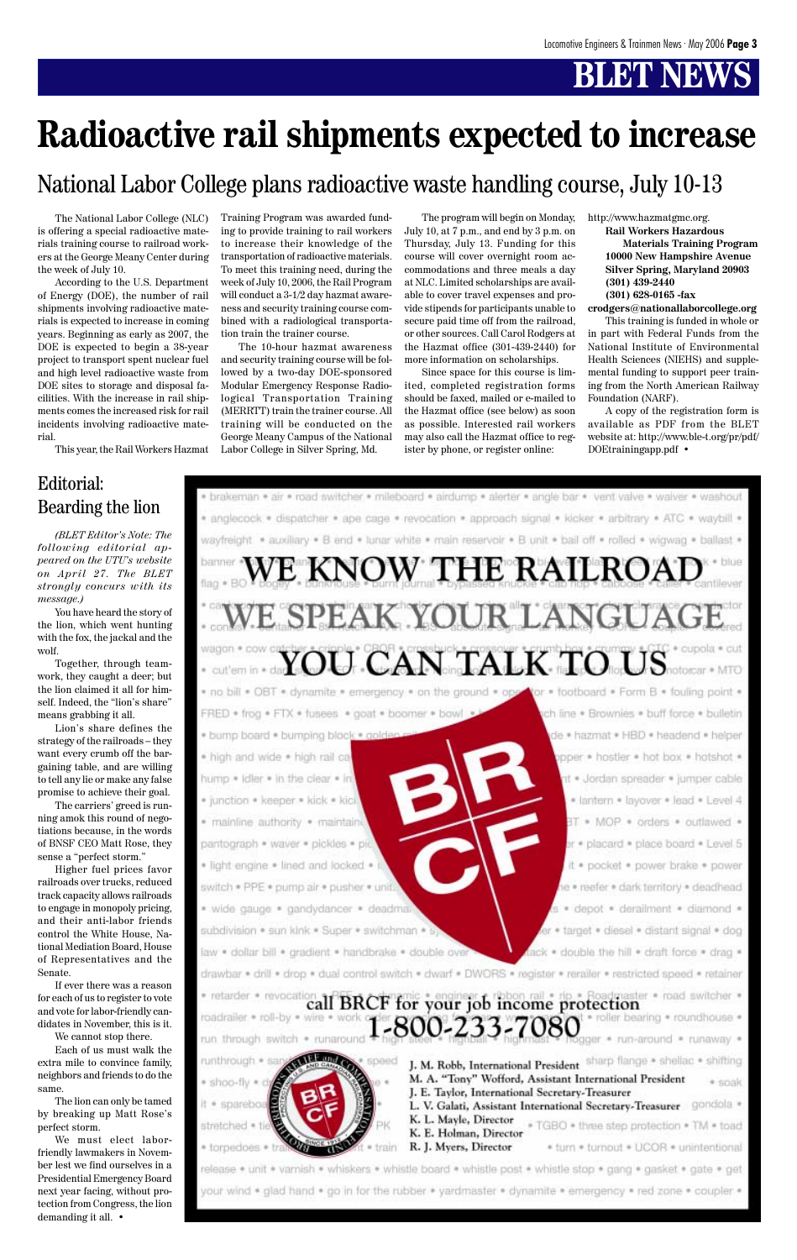The National Labor College (NLC) is offering a special radioactive materials training course to railroad workers at the George Meany Center during the week of July 10.

According to the U.S. Department of Energy (DOE), the number of rail shipments involving radioactive materials is expected to increase in coming years. Beginning as early as 2007, the DOE is expected to begin a 38-year project to transport spent nuclear fuel and high level radioactive waste from DOE sites to storage and disposal facilities. With the increase in rail shipments comes the increased risk for rail incidents involving radioactive material.

This year, the Rail Workers Hazmat

Training Program was awarded funding to provide training to rail workers to increase their knowledge of the transportation of radioactive materials. To meet this training need, during the week of July 10, 2006, the Rail Program will conduct a 3-1/2 day hazmat awareness and security training course combined with a radiological transportation train the trainer course.

The 10-hour hazmat awareness and security training course will be followed by a two-day DOE-sponsored Modular Emergency Response Radiological Transportation Training (MERRTT) train the trainer course. All training will be conducted on the George Meany Campus of the National Labor College in Silver Spring, Md.

The program will begin on Monday, July 10, at 7 p.m., and end by 3 p.m. on Thursday, July 13. Funding for this course will cover overnight room accommodations and three meals a day at NLC. Limited scholarships are available to cover travel expenses and provide stipends for participants unable to secure paid time off from the railroad, or other sources. Call Carol Rodgers at the Hazmat office (301-439-2440) for more information on scholarships.

Since space for this course is limited, completed registration forms should be faxed, mailed or e-mailed to the Hazmat office (see below) as soon as possible. Interested rail workers may also call the Hazmat office to register by phone, or register online:

http://www.hazmatgmc.org.

**Rail Workers Hazardous Materials Training Program 10000 New Hampshire Avenue Silver Spring, Maryland 20903 (301) 439-2440 (301) 628-0165 -fax**

**crodgers@nationallaborcollege.org**

This training is funded in whole or in part with Federal Funds from the National Institute of Environmental Health Sciences (NIEHS) and supplemental funding to support peer training from the North American Railway Foundation (NARF).

A copy of the registration form is available as PDF from the BLET website at: http://www.ble-t.org/pr/pdf/ DOEtrainingapp.pdf •



### National Labor College plans radioactive waste handling course, July 10-13

# **Radioactive rail shipments expected to increase**

*(BLET Editor's Note: The following editorial appeared on the UTU's website on April 27. The BLET strongly concurs with its message.)*

You have heard the story of the lion, which went hunting with the fox, the jackal and the wolf.

Together, through teamwork, they caught a deer; but the lion claimed it all for himself. Indeed, the "lion's share" means grabbing it all.

Lion's share defines the strategy of the railroads – they want every crumb off the bargaining table, and are willing to tell any lie or make any false promise to achieve their goal.

The carriers' greed is running amok this round of negotiations because, in the words of BNSF CEO Matt Rose, they sense a "perfect storm."

Higher fuel prices favor railroads over trucks, reduced track capacity allows railroads to engage in monopoly pricing, and their anti-labor friends control the White House, National Mediation Board, House of Representatives and the Senate. If ever there was a reason for each of us to register to vote and vote for labor-friendly candidates in November, this is it.

We cannot stop there.

Each of us must walk the extra mile to convince family, neighbors and friends to do the same.

The lion can only be tamed by breaking up Matt Rose's perfect storm.

We must elect laborfriendly lawmakers in November lest we find ourselves in a Presidential Emergency Board next year facing, without protection from Congress, the lion demanding it all. •

### Editorial: Bearding the lion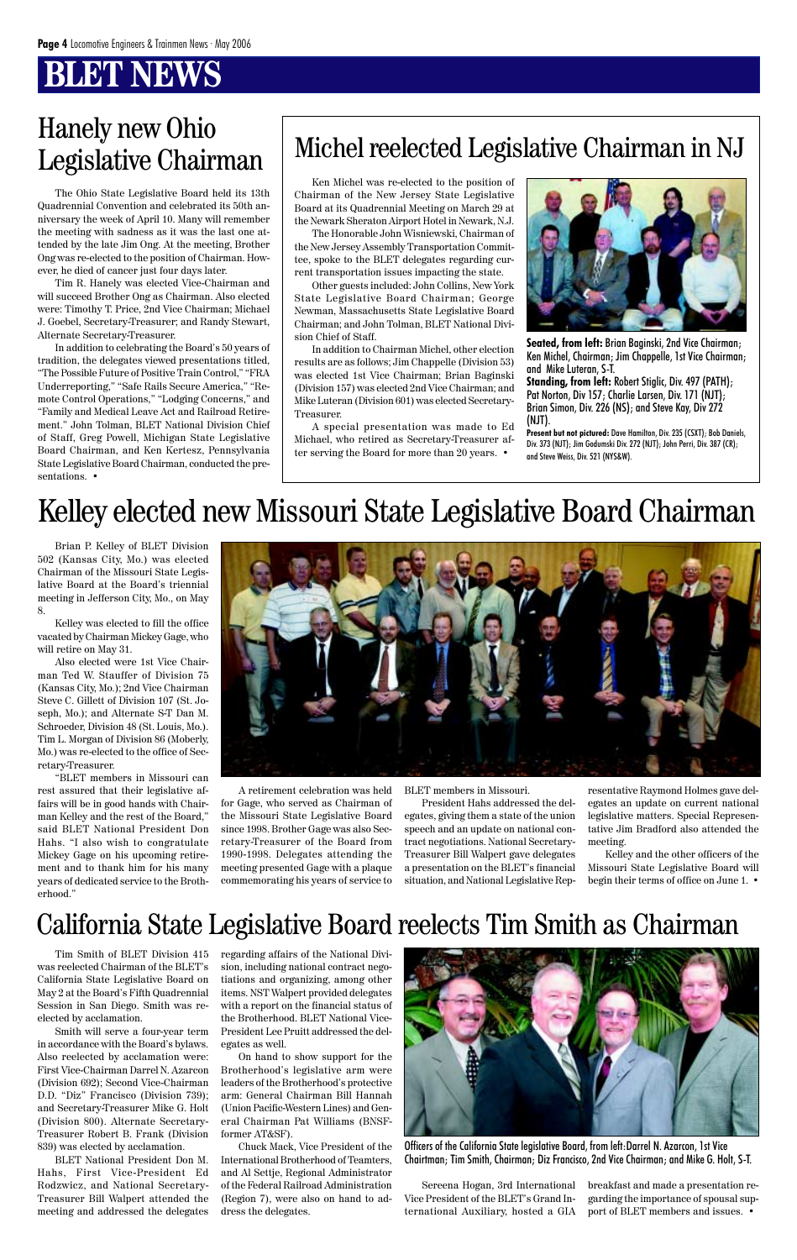## **BT NEWS**

The Ohio State Legislative Board held its 13th Quadrennial Convention and celebrated its 50th anniversary the week of April 10. Many will remember the meeting with sadness as it was the last one attended by the late Jim Ong. At the meeting, Brother Ong was re-elected to the position of Chairman. However, he died of cancer just four days later.

Tim R. Hanely was elected Vice-Chairman and will succeed Brother Ong as Chairman. Also elected were: Timothy T. Price, 2nd Vice Chairman; Michael J. Goebel, Secretary-Treasurer; and Randy Stewart, Alternate Secretary-Treasurer.

In addition to celebrating the Board's 50 years of tradition, the delegates viewed presentations titled, "The Possible Future of Positive Train Control," "FRA Underreporting," "Safe Rails Secure America," "Remote Control Operations," "Lodging Concerns," and "Family and Medical Leave Act and Railroad Retirement." John Tolman, BLET National Division Chief of Staff, Greg Powell, Michigan State Legislative Board Chairman, and Ken Kertesz, Pennsylvania State Legislative Board Chairman, conducted the presentations. •

# Hanely new Ohio<br>Logislative Chairman Michel reelected Legislative Chairman in NJ

Ken Michel was re-elected to the position of Chairman of the New Jersey State Legislative Board at its Quadrennial Meeting on March 29 at the Newark Sheraton Airport Hotel in Newark, N.J.

The Honorable John Wisniewski, Chairman of the New Jersey Assembly Transportation Committee, spoke to the BLET delegates regarding current transportation issues impacting the state.

Other guests included: John Collins, New York State Legislative Board Chairman; George Newman, Massachusetts State Legislative Board Chairman; and John Tolman, BLET National Division Chief of Staff.

In addition to Chairman Michel, other election results are as follows; Jim Chappelle (Division 53) was elected 1st Vice Chairman; Brian Baginski (Division 157) was elected 2nd Vice Chairman; and Mike Luteran (Division 601) was elected Secretary-Treasurer.

A special presentation was made to Ed Michael, who retired as Secretary-Treasurer after serving the Board for more than 20 years. •



**Seated, from left:** Brian Baginski, 2nd Vice Chairman; Ken Michel, Chairman; Jim Chappelle, 1st Vice Chairman; and Mike Luteran, S-T. **Standing, from left:** Robert Stiglic, Div. 497 (PATH); Pat Norton, Div 157; Charlie Larsen, Div. 171 (NJT); Brian Simon, Div. 226 (NS); and Steve Kay, Div 272

(NJT). **Present but not pictured:** Dave Hamilton, Div. 235 (CSXT); Bob Daniels, Div. 373 (NJT); Jim Godumski Div. 272 (NJT); John Perri, Div. 387 (CR); and Steve Weiss, Div. 521 (NYS&W).

# Legislative Chairman

Brian P. Kelley of BLET Division 502 (Kansas City, Mo.) was elected Chairman of the Missouri State Legislative Board at the Board's triennial meeting in Jefferson City, Mo., on May 8.

Kelley was elected to fill the office vacated by Chairman Mickey Gage, who will retire on May 31.

Also elected were 1st Vice Chairman Ted W. Stauffer of Division 75 (Kansas City, Mo.); 2nd Vice Chairman Steve C. Gillett of Division 107 (St. Joseph, Mo.); and Alternate S-T Dan M. Schroeder, Division 48 (St. Louis, Mo.). Tim L. Morgan of Division 86 (Moberly, Mo.) was re-elected to the office of Secretary-Treasurer.

"BLET members in Missouri can rest assured that their legislative affairs will be in good hands with Chairman Kelley and the rest of the Board," said BLET National President Don Hahs. "I also wish to congratulate Mickey Gage on his upcoming retirement and to thank him for his many years of dedicated service to the Brotherhood."



Tim Smith of BLET Division 415 was reelected Chairman of the BLET's California State Legislative Board on May 2 at the Board's Fifth Quadrennial Session in San Diego. Smith was reelected by acclamation.

Smith will serve a four-year term in accordance with the Board's bylaws. Also reelected by acclamation were: First Vice-Chairman Darrel N. Azarcon (Division 692); Second Vice-Chairman D.D. "Diz" Francisco (Division 739); and Secretary-Treasurer Mike G. Holt (Division 800). Alternate Secretary-Treasurer Robert B. Frank (Division 839) was elected by acclamation.

BLET National President Don M. Hahs, First Vice-President Ed Rodzwicz, and National Secretary-Treasurer Bill Walpert attended the meeting and addressed the delegates

A retirement celebration was held for Gage, who served as Chairman of the Missouri State Legislative Board since 1998. Brother Gage was also Secretary-Treasurer of the Board from 1990-1998. Delegates attending the meeting presented Gage with a plaque commemorating his years of service to

BLET members in Missouri.

President Hahs addressed the delegates, giving them a state of the union speech and an update on national contract negotiations. National Secretary-Treasurer Bill Walpert gave delegates a presentation on the BLET's financial situation, and National Legislative Representative Raymond Holmes gave delegates an update on current national legislative matters. Special Representative Jim Bradford also attended the meeting.

Kelley and the other officers of the Missouri State Legislative Board will begin their terms of office on June 1. •

# Kelley elected new Missouri State Legislative Board Chairman

regarding affairs of the National Division, including national contract negotiations and organizing, among other items. NST Walpert provided delegates with a report on the financial status of the Brotherhood. BLET National Vice-President Lee Pruitt addressed the delegates as well.

On hand to show support for the Brotherhood's legislative arm were leaders of the Brotherhood's protective arm: General Chairman Bill Hannah (Union Pacific-Western Lines) and General Chairman Pat Williams (BNSFformer AT&SF).

Chuck Mack, Vice President of the International Brotherhood of Teamters, and Al Settje, Regional Administrator of the Federal Railroad Administration (Region 7), were also on hand to address the delegates.

## California State Legislative Board reelects Tim Smith as Chairman

Sereena Hogan, 3rd International Vice President of the BLET's Grand International Auxiliary, hosted a GIA breakfast and made a presentation regarding the importance of spousal support of BLET members and issues. •



Officers of the California State legislative Board, from left:Darrel N. Azarcon, 1st Vice Chairtman; Tim Smith, Chairman; Diz Francisco, 2nd Vice Chairman; and Mike G. Holt, S-T.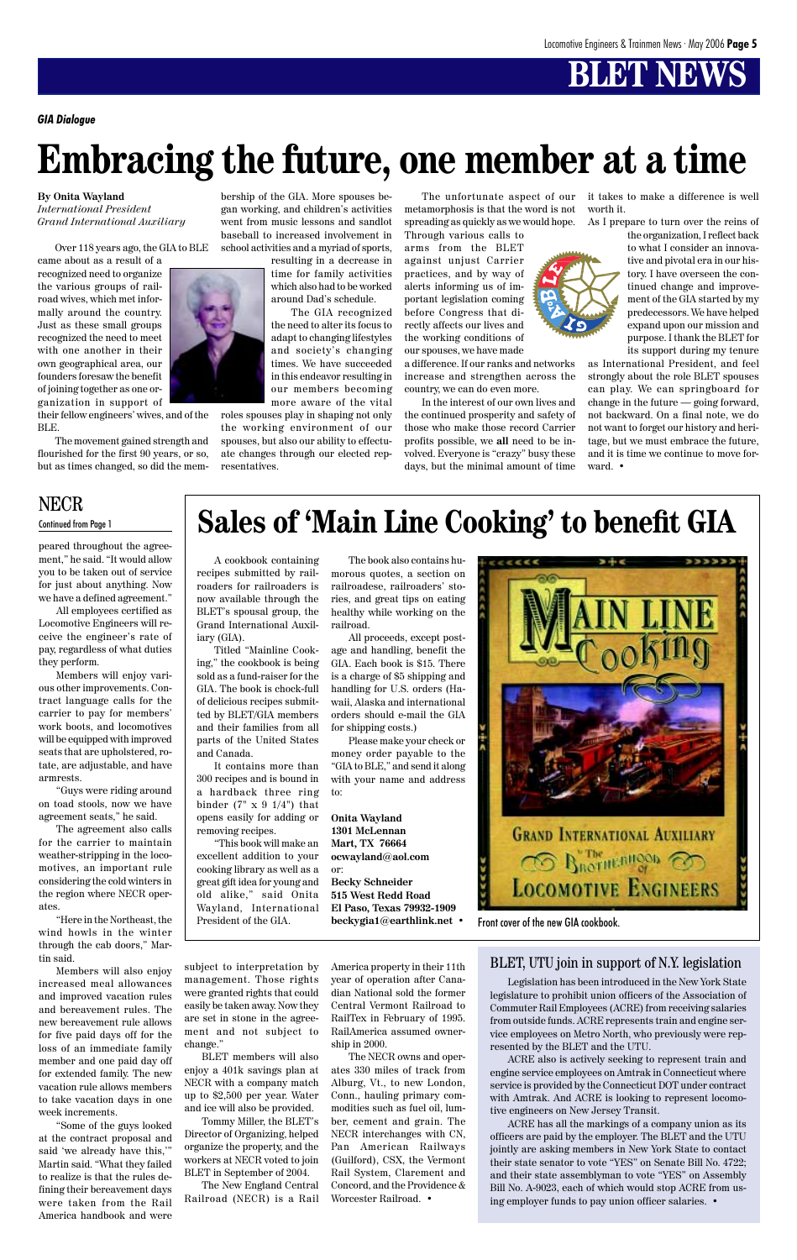# **Embracing the future, one member at a time**

*GIA Dialogue*

#### **By Onita Wayland**

*International President Grand International Auxiliary*

Over 118 years ago, the GIA to BLE

came about as a result of a recognized need to organize the various groups of railroad wives, which met informally around the country. Just as these small groups recognized the need to meet with one another in their own geographical area, our founders foresaw the benefit of joining together as one organization in support of

their fellow engineers' wives, and of the BLE.

The movement gained strength and flourished for the first 90 years, or so, but as times changed, so did the membership of the GIA. More spouses began working, and children's activities went from music lessons and sandlot baseball to increased involvement in school activities and a myriad of sports,

resulting in a decrease in time for family activities which also had to be worked around Dad's schedule.

The GIA recognized the need to alter its focus to adapt to changing lifestyles and society's changing times. We have succeeded in this endeavor resulting in our members becoming more aware of the vital

roles spouses play in shaping not only the working environment of our spouses, but also our ability to effectuate changes through our elected representatives.

Through various calls to arms from the BLET against unjust Carrier practices, and by way of alerts informing us of important legislation coming before Congress that directly affects our lives and the working conditions of our spouses, we have made

The unfortunate aspect of our it takes to make a difference is well worth it.

metamorphosis is that the word is not spreading as quickly as we would hope. As I prepare to turn over the reins of

a difference. If our ranks and networks increase and strengthen across the country, we can do even more.

In the interest of our own lives and the continued prosperity and safety of those who make those record Carrier profits possible, we **all** need to be involved. Everyone is "crazy" busy these days, but the minimal amount of time the organization, I reflect back to what I consider an innovative and pivotal era in our history. I have overseen the continued change and improvement of the GIA started by my predecessors. We have helped expand upon our mission and purpose. I thank the BLET for

its support during my tenure as International President, and feel strongly about the role BLET spouses can play. We can springboard for change in the future — going forward, not backward. On a final note, we do not want to forget our history and heritage, but we must embrace the future, and it is time we continue to move forward. •

A cookbook containing recipes submitted by railroaders for railroaders is now available through the BLET's spousal group, the Grand International Auxiliary (GIA).

Titled "Mainline Cooking," the cookbook is being sold as a fund-raiser for the GIA. The book is chock-full of delicious recipes submitted by BLET/GIA members and their families from all parts of the United States and Canada.

It contains more than 300 recipes and is bound in a hardback three ring binder  $(7" \times 9 \frac{1}{4")}$  that opens easily for adding or removing recipes.

"This book will make an excellent addition to your cooking library as well as a great gift idea for young and old alike," said Onita Wayland, International President of the GIA.

The book also contains humorous quotes, a section on railroadese, railroaders' stories, and great tips on eating healthy while working on the railroad.

All proceeds, except postage and handling, benefit the GIA. Each book is \$15. There is a charge of \$5 shipping and handling for U.S. orders (Hawaii, Alaska and international orders should e-mail the GIA for shipping costs.)

Please make your check or money order payable to the "GIA to BLE," and send it along with your name and address to:

#### **Onita Wayland 1301 McLennan Mart, TX 76664 ocwayland@aol.com** or:

**Becky Schneider 515 West Redd Road El Paso, Texas 79932-1909 beckygia1@earthlink.net** •



# **Sales of 'Main Line Cooking' to benefit GIA**

Front cover of the new GIA cookbook.



peared throughout the agreement," he said. "It would allow you to be taken out of service for just about anything. Now we have a defined agreement."

All employees certified as Locomotive Engineers will receive the engineer's rate of pay, regardless of what duties they perform.

Members will enjoy various other improvements. Contract language calls for the carrier to pay for members' work boots, and locomotives will be equipped with improved seats that are upholstered, rotate, are adjustable, and have armrests.

"Guys were riding around on toad stools, now we have agreement seats," he said.

The agreement also calls for the carrier to maintain weather-stripping in the locomotives, an important rule considering the cold winters in the region where NECR operates.

"Here in the Northeast, the wind howls in the winter through the cab doors," Martin said.

Members will also enjoy increased meal allowances and improved vacation rules and bereavement rules. The new bereavement rule allows for five paid days off for the loss of an immediate family member and one paid day off for extended family. The new vacation rule allows members to take vacation days in one week increments.

"Some of the guys looked at the contract proposal and said 'we already have this,'" Martin said. "What they failed to realize is that the rules defining their bereavement days were taken from the Rail America handbook and were

### NECR

#### Continued from Page 1

subject to interpretation by management. Those rights were granted rights that could easily be taken away. Now they are set in stone in the agreement and not subject to change."

BLET members will also enjoy a 401k savings plan at NECR with a company match up to \$2,500 per year. Water and ice will also be provided.

Tommy Miller, the BLET's Director of Organizing, helped organize the property, and the workers at NECR voted to join BLET in September of 2004.

The New England Central Railroad (NECR) is a Rail

America property in their 11th year of operation after Canadian National sold the former Central Vermont Railroad to RailTex in February of 1995. RailAmerica assumed ownership in 2000.

The NECR owns and operates 330 miles of track from Alburg, Vt., to new London, Conn., hauling primary commodities such as fuel oil, lumber, cement and grain. The NECR interchanges with CN, Pan American Railways (Guilford), CSX, the Vermont Rail System, Clarement and Concord, and the Providence & Worcester Railroad. **•**

Legislation has been introduced in the New York State legislature to prohibit union officers of the Association of Commuter Rail Employees (ACRE) from receiving salaries from outside funds. ACRE represents train and engine service employees on Metro North, who previously were represented by the BLET and the UTU.

ACRE also is actively seeking to represent train and engine service employees on Amtrak in Connecticut where service is provided by the Connecticut DOT under contract with Amtrak. And ACRE is looking to represent locomotive engineers on New Jersey Transit.

ACRE has all the markings of a company union as its officers are paid by the employer. The BLET and the UTU jointly are asking members in New York State to contact their state senator to vote "YES" on Senate Bill No. 4722; and their state assemblyman to vote "YES" on Assembly Bill No. A-9023, each of which would stop ACRE from using employer funds to pay union officer salaries. •

### BLET, UTU join in support of N.Y. legislation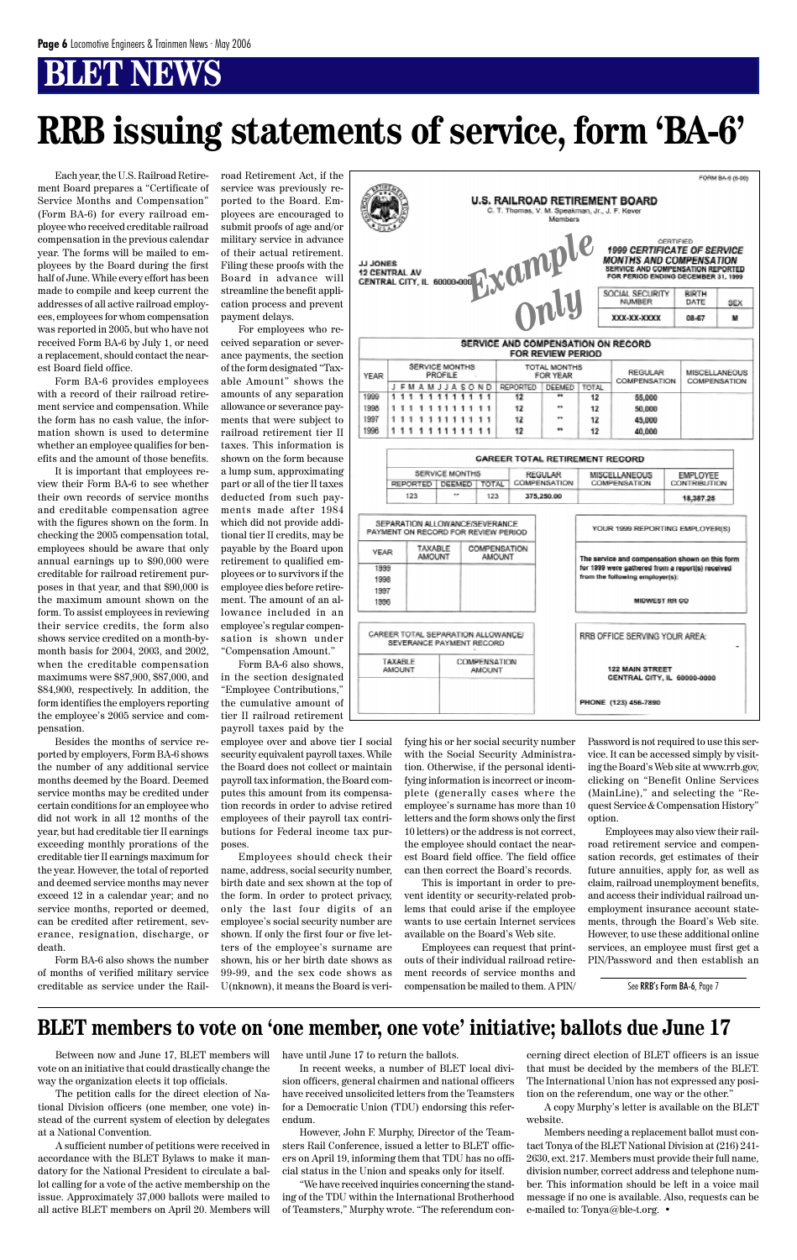# **RRB issuing statements of service, form 'BA-6'**

Each year, the U.S. Railroad Retirement Board prepares a "Certificate of Service Months and Compensation" (Form BA-6) for every railroad employee who received creditable railroad compensation in the previous calendar year. The forms will be mailed to employees by the Board during the first half of June. While every effort has been made to compile and keep current the addresses of all active railroad employees, employees for whom compensation was reported in 2005, but who have not received Form BA-6 by July 1, or need a replacement, should contact the nearest Board field office.

Form BA-6 provides employees with a record of their railroad retirement service and compensation. While the form has no cash value, the information shown is used to determine whether an employee qualifies for benefits and the amount of those benefits.

It is important that employees review their Form BA-6 to see whether their own records of service months and creditable compensation agree with the figures shown on the form. In checking the 2005 compensation total, employees should be aware that only annual earnings up to \$90,000 were creditable for railroad retirement purposes in that year, and that \$90,000 is the maximum amount shown on the form. To assist employees in reviewing their service credits, the form also shows service credited on a month-bymonth basis for 2004, 2003, and 2002, when the creditable compensation maximums were \$87,900, \$87,000, and \$84,900, respectively. In addition, the form identifies the employers reporting the employee's 2005 service and compensation.

Besides the months of service reported by employers, Form BA-6 shows the number of any additional service months deemed by the Board. Deemed service months may be credited under certain conditions for an employee who did not work in all 12 months of the year, but had creditable tier II earnings exceeding monthly prorations of the creditable tier II earnings maximum for the year. However, the total of reported and deemed service months may never exceed 12 in a calendar year; and no service months, reported or deemed, can be credited after retirement, sev-

erance, resignation, discharge, or death.

Form BA-6 also shows the number of months of verified military service creditable as service under the Rail-

road Retirement Act, if the service was previously reported to the Board. Employees are encouraged to submit proofs of age and/or military service in advance of their actual retirement. Filing these proofs with the Board in advance will streamline the benefit application process and prevent payment delays.

For employees who received separation or severance payments, the section of the form designated "Taxable Amount" shows the amounts of any separation allowance or severance payments that were subject to railroad retirement tier II taxes. This information is shown on the form because a lump sum, approximating part or all of the tier II taxes deducted from such payments made after 1984 which did not provide additional tier II credits, may be payable by the Board upon retirement to qualified employees or to survivors if the employee dies before retirement. The amount of an allowance included in an employee's regular compensation is shown under "Compensation Amount."

Form BA-6 also shows, in the section designated "Employee Contributions," the cumulative amount of tier II railroad retirement payroll taxes paid by the

employee over and above tier I social security equivalent payroll taxes. While the Board does not collect or maintain payroll tax information, the Board computes this amount from its compensation records in order to advise retired employees of their payroll tax contributions for Federal income tax purposes.

Employees should check their name, address, social security number, birth date and sex shown at the top of the form. In order to protect privacy, only the last four digits of an employee's social security number are shown. If only the first four or five letters of the employee's surname are shown, his or her birth date shows as 99-99, and the sex code shows as U(nknown), it means the Board is verifying his or her social security number with the Social Security Administration. Otherwise, if the personal identifying information is incorrect or incomplete (generally cases where the employee's surname has more than 10 letters and the form shows only the first 10 letters) or the address is not correct, the employee should contact the nearest Board field office. The field office can then correct the Board's records.

This is important in order to prevent identity or security-related problems that could arise if the employee wants to use certain Internet services

available on the Board's Web site.

Employees can request that printouts of their individual railroad retirement records of service months and compensation be mailed to them. A PIN/

See RRB's Form BA-6, Page 7

Password is not required to use this service. It can be accessed simply by visiting the Board's Web site at www.rrb.gov, clicking on "Benefit Online Services (MainLine)," and selecting the "Request Service & Compensation History" option.

Employees may also view their railroad retirement service and compensation records, get estimates of their future annuities, apply for, as well as claim, railroad unemployment benefits, and access their individual railroad unemployment insurance account statements, through the Board's Web site. However, to use these additional online services, an employee must first get a PIN/Password and then establish an

Between now and June 17, BLET members will vote on an initiative that could drastically change the way the organization elects it top officials.

The petition calls for the direct election of National Division officers (one member, one vote) instead of the current system of election by delegates at a National Convention.

A sufficient number of petitions were received in accordance with the BLET Bylaws to make it mandatory for the National President to circulate a ballot calling for a vote of the active membership on the issue. Approximately 37,000 ballots were mailed to all active BLET members on April 20. Members will

### **BLET members to vote on 'one member, one vote' initiative; ballots due June 17**

have until June 17 to return the ballots.

In recent weeks, a number of BLET local division officers, general chairmen and national officers have received unsolicited letters from the Teamsters for a Democratic Union (TDU) endorsing this referendum.

However, John F. Murphy, Director of the Teamsters Rail Conference, issued a letter to BLET officers on April 19, informing them that TDU has no official status in the Union and speaks only for itself.

"We have received inquiries concerning the standing of the TDU within the International Brotherhood of Teamsters," Murphy wrote. "The referendum con-

cerning direct election of BLET officers is an issue that must be decided by the members of the BLET. The International Union has not expressed any position on the referendum, one way or the other."

A copy Murphy's letter is available on the BLET website.

Members needing a replacement ballot must contact Tonya of the BLET National Division at (216) 241- 2630, ext. 217. Members must provide their full name, division number, correct address and telephone number. This information should be left in a voice mail message if no one is available. Also, requests can be e-mailed to: Tonya@ble-t.org. •

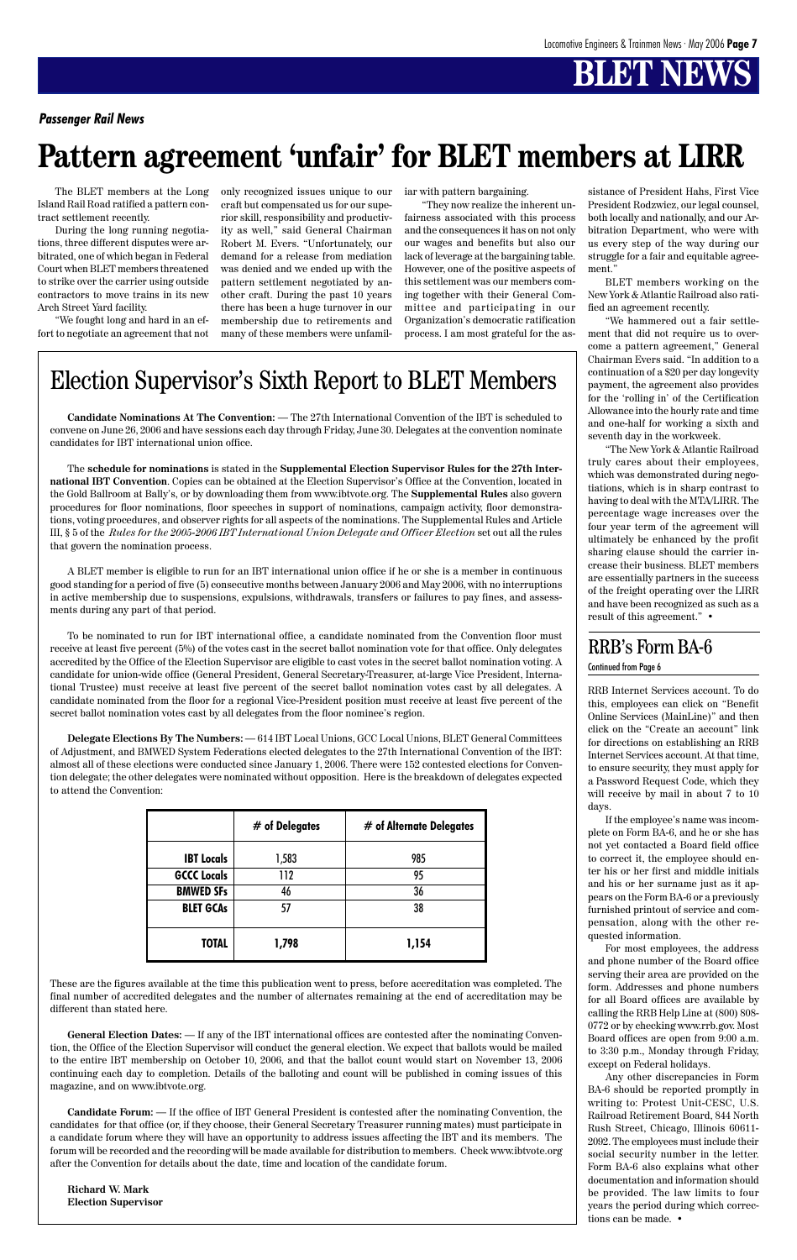

### Election Supervisor's Sixth Report to BLET Members

#### *Passenger Rail News*

# **Pattern agreement 'unfair' for BLET members at LIRR**

**Candidate Nominations At The Convention:** — The 27th International Convention of the IBT is scheduled to convene on June 26, 2006 and have sessions each day through Friday, June 30. Delegates at the convention nominate candidates for IBT international union office.

The **schedule for nominations** is stated in the **Supplemental Election Supervisor Rules for the 27th International IBT Convention**. Copies can be obtained at the Election Supervisor's Office at the Convention, located in the Gold Ballroom at Bally's, or by downloading them from www.ibtvote.org. The **Supplemental Rules** also govern procedures for floor nominations, floor speeches in support of nominations, campaign activity, floor demonstrations, voting procedures, and observer rights for all aspects of the nominations. The Supplemental Rules and Article III, §␣ 5 of the *Rules for the 2005-2006 IBT International Union Delegate and Officer Election* set out all the rules that govern the nomination process.

A BLET member is eligible to run for an IBT international union office if he or she is a member in continuous good standing for a period of five (5) consecutive months between January 2006 and May 2006, with no interruptions in active membership due to suspensions, expulsions, withdrawals, transfers or failures to pay fines, and assessments during any part of that period.

To be nominated to run for IBT international office, a candidate nominated from the Convention floor must receive at least five percent (5%) of the votes cast in the secret ballot nomination vote for that office. Only delegates accredited by the Office of the Election Supervisor are eligible to cast votes in the secret ballot nomination voting. A candidate for union-wide office (General President, General Secretary-Treasurer, at-large Vice President, International Trustee) must receive at least five percent of the secret ballot nomination votes cast by all delegates. A candidate nominated from the floor for a regional Vice-President position must receive at least five percent of the secret ballot nomination votes cast by all delegates from the floor nominee's region.

**Delegate Elections By The Numbers:** — 614 IBT Local Unions, GCC Local Unions, BLET General Committees of Adjustment, and BMWED System Federations elected delegates to the 27th International Convention of the IBT: almost all of these elections were conducted since January 1, 2006. There were 152 contested elections for Convention delegate; the other delegates were nominated without opposition. Here is the breakdown of delegates expected to attend the Convention:

These are the figures available at the time this publication went to press, before accreditation was completed. The final number of accredited delegates and the number of alternates remaining at the end of accreditation may be different than stated here.

**General Election Dates:** — If any of the IBT international offices are contested after the nominating Convention, the Office of the Election Supervisor will conduct the general election. We expect that ballots would be mailed to the entire IBT membership on October 10, 2006, and that the ballot count would start on November 13, 2006 continuing each day to completion. Details of the balloting and count will be published in coming issues of this magazine, and on www.ibtvote.org.

**Candidate Forum:** — If the office of IBT General President is contested after the nominating Convention, the candidates for that office (or, if they choose, their General Secretary Treasurer running mates) must participate in a candidate forum where they will have an opportunity to address issues affecting the IBT and its members. The forum will be recorded and the recording will be made available for distribution to members. Check www.ibtvote.org after the Convention for details about the date, time and location of the candidate forum.

**Richard W. Mark Election Supervisor**

|                    | $#$ of Delegates | # of Alternate Delegates |
|--------------------|------------------|--------------------------|
| <b>IBT</b> Locals  | 1,583            | 985                      |
| <b>GCCC Locals</b> | 112              | 95                       |
| <b>BMWED SFs</b>   | 46               | 36                       |
| <b>BLET GCAs</b>   |                  | 38                       |

| <b>TOTAL</b> | 1 C A |
|--------------|-------|
| 1,798        | 1,134 |

RRB Internet Services account. To do this, employees can click on "Benefit Online Services (MainLine)" and then click on the "Create an account" link for directions on establishing an RRB Internet Services account. At that time, to ensure security, they must apply for a Password Request Code, which they will receive by mail in about 7 to 10 days.

If the employee's name was incomplete on Form BA-6, and he or she has not yet contacted a Board field office to correct it, the employee should enter his or her first and middle initials and his or her surname just as it appears on the Form BA-6 or a previously furnished printout of service and compensation, along with the other requested information. For most employees, the address and phone number of the Board office serving their area are provided on the form. Addresses and phone numbers for all Board offices are available by calling the RRB Help Line at (800) 808- 0772 or by checking www.rrb.gov. Most Board offices are open from 9:00 a.m. to 3:30 p.m., Monday through Friday, except on Federal holidays. Any other discrepancies in Form BA-6 should be reported promptly in writing to: Protest Unit-CESC, U.S. Railroad Retirement Board, 844 North Rush Street, Chicago, Illinois 60611- 2092. The employees must include their social security number in the letter. Form BA-6 also explains what other documentation and information should be provided. The law limits to four years the period during which corrections can be made. •

The BLET members at the Long Island Rail Road ratified a pattern contract settlement recently.

During the long running negotiations, three different disputes were arbitrated, one of which began in Federal Court when BLET members threatened to strike over the carrier using outside contractors to move trains in its new Arch Street Yard facility.

"We fought long and hard in an effort to negotiate an agreement that not only recognized issues unique to our craft but compensated us for our superior skill, responsibility and productivity as well," said General Chairman Robert M. Evers. "Unfortunately, our demand for a release from mediation was denied and we ended up with the pattern settlement negotiated by another craft. During the past 10 years there has been a huge turnover in our membership due to retirements and many of these members were unfamiliar with pattern bargaining.

"They now realize the inherent unfairness associated with this process and the consequences it has on not only our wages and benefits but also our lack of leverage at the bargaining table. However, one of the positive aspects of this settlement was our members coming together with their General Committee and participating in our Organization's democratic ratification process. I am most grateful for the assistance of President Hahs, First Vice President Rodzwicz, our legal counsel, both locally and nationally, and our Arbitration Department, who were with us every step of the way during our struggle for a fair and equitable agreement."

BLET members working on the New York & Atlantic Railroad also ratified an agreement recently.

"We hammered out a fair settlement that did not require us to overcome a pattern agreement," General Chairman Evers said. "In addition to a continuation of a \$20 per day longevity payment, the agreement also provides for the 'rolling in' of the Certification Allowance into the hourly rate and time and one-half for working a sixth and seventh day in the workweek.

"The New York & Atlantic Railroad truly cares about their employees, which was demonstrated during negotiations, which is in sharp contrast to having to deal with the MTA/LIRR. The percentage wage increases over the four year term of the agreement will ultimately be enhanced by the profit sharing clause should the carrier increase their business. BLET members are essentially partners in the success of the freight operating over the LIRR and have been recognized as such as a result of this agreement." •

### RRB's Form BA-6

Continued from Page 6